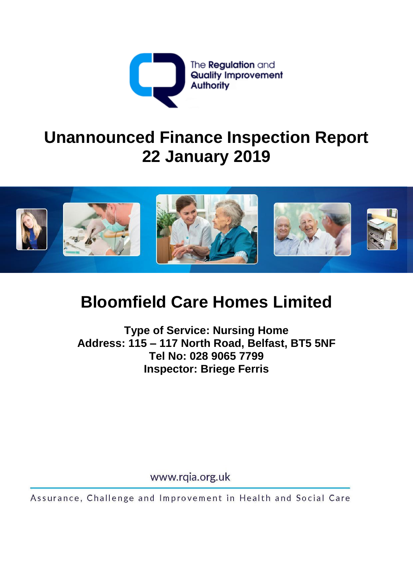

# **Unannounced Finance Inspection Report 22 January 2019**



# **Bloomfield Care Homes Limited**

**Type of Service: Nursing Home Address: 115 – 117 North Road, Belfast, BT5 5NF Tel No: 028 9065 7799 Inspector: Briege Ferris** 

www.rqia.org.uk

Assurance, Challenge and Improvement in Health and Social Care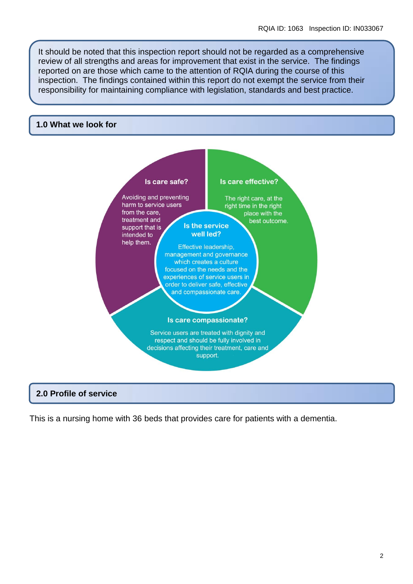It should be noted that this inspection report should not be regarded as a comprehensive review of all strengths and areas for improvement that exist in the service. The findings reported on are those which came to the attention of RQIA during the course of this inspection. The findings contained within this report do not exempt the service from their responsibility for maintaining compliance with legislation, standards and best practice.

#### **1.0 What we look for**



#### **2.0 Profile of service**

This is a nursing home with 36 beds that provides care for patients with a dementia.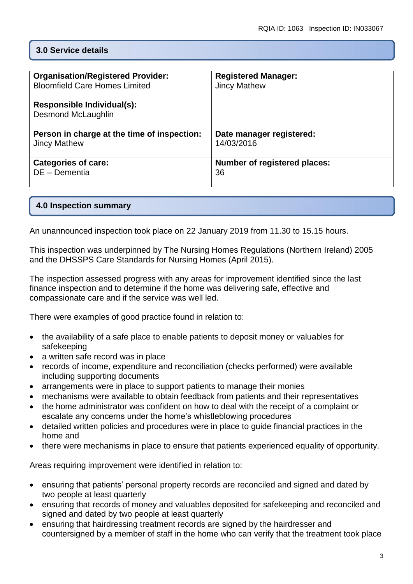# **3.0 Service details**

| <b>Organisation/Registered Provider:</b>    | <b>Registered Manager:</b>   |
|---------------------------------------------|------------------------------|
| <b>Bloomfield Care Homes Limited</b>        | <b>Jincy Mathew</b>          |
| Responsible Individual(s):                  |                              |
|                                             |                              |
| <b>Desmond McLaughlin</b>                   |                              |
|                                             |                              |
| Person in charge at the time of inspection: | Date manager registered:     |
| <b>Jincy Mathew</b>                         | 14/03/2016                   |
|                                             |                              |
|                                             |                              |
| <b>Categories of care:</b>                  | Number of registered places: |
| DE - Dementia                               | 36                           |
|                                             |                              |
|                                             |                              |

# **4.0 Inspection summary**

An unannounced inspection took place on 22 January 2019 from 11.30 to 15.15 hours.

This inspection was underpinned by The Nursing Homes Regulations (Northern Ireland) 2005 and the DHSSPS Care Standards for Nursing Homes (April 2015).

The inspection assessed progress with any areas for improvement identified since the last finance inspection and to determine if the home was delivering safe, effective and compassionate care and if the service was well led.

There were examples of good practice found in relation to:

- the availability of a safe place to enable patients to deposit money or valuables for safekeeping
- a written safe record was in place
- records of income, expenditure and reconciliation (checks performed) were available including supporting documents
- arrangements were in place to support patients to manage their monies
- mechanisms were available to obtain feedback from patients and their representatives
- the home administrator was confident on how to deal with the receipt of a complaint or escalate any concerns under the home's whistleblowing procedures
- detailed written policies and procedures were in place to guide financial practices in the home and
- there were mechanisms in place to ensure that patients experienced equality of opportunity.

Areas requiring improvement were identified in relation to:

- ensuring that patients' personal property records are reconciled and signed and dated by two people at least quarterly
- ensuring that records of money and valuables deposited for safekeeping and reconciled and signed and dated by two people at least quarterly
- ensuring that hairdressing treatment records are signed by the hairdresser and countersigned by a member of staff in the home who can verify that the treatment took place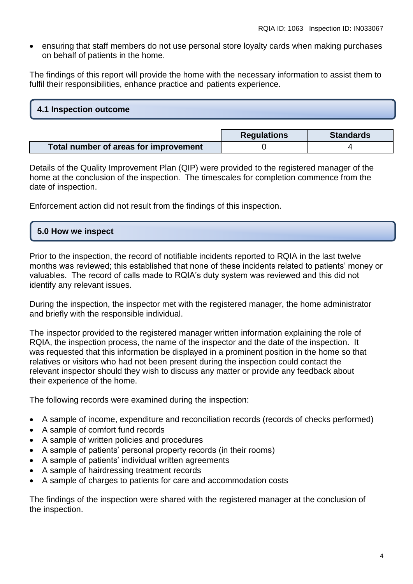ensuring that staff members do not use personal store loyalty cards when making purchases on behalf of patients in the home.

The findings of this report will provide the home with the necessary information to assist them to fulfil their responsibilities, enhance practice and patients experience.

#### **4.1 Inspection outcome**

|                                       | <b>Regulations</b> | <b>Standards</b> |
|---------------------------------------|--------------------|------------------|
| Total number of areas for improvement |                    |                  |

Details of the Quality Improvement Plan (QIP) were provided to the registered manager of the home at the conclusion of the inspection. The timescales for completion commence from the date of inspection.

Enforcement action did not result from the findings of this inspection.

#### **5.0 How we inspect**

Prior to the inspection, the record of notifiable incidents reported to RQIA in the last twelve months was reviewed; this established that none of these incidents related to patients' money or valuables. The record of calls made to RQIA's duty system was reviewed and this did not identify any relevant issues.

During the inspection, the inspector met with the registered manager, the home administrator and briefly with the responsible individual.

The inspector provided to the registered manager written information explaining the role of RQIA, the inspection process, the name of the inspector and the date of the inspection. It was requested that this information be displayed in a prominent position in the home so that relatives or visitors who had not been present during the inspection could contact the relevant inspector should they wish to discuss any matter or provide any feedback about their experience of the home.

The following records were examined during the inspection:

- A sample of income, expenditure and reconciliation records (records of checks performed)
- A sample of comfort fund records
- A sample of written policies and procedures
- A sample of patients' personal property records (in their rooms)
- A sample of patients' individual written agreements
- A sample of hairdressing treatment records
- A sample of charges to patients for care and accommodation costs

The findings of the inspection were shared with the registered manager at the conclusion of the inspection.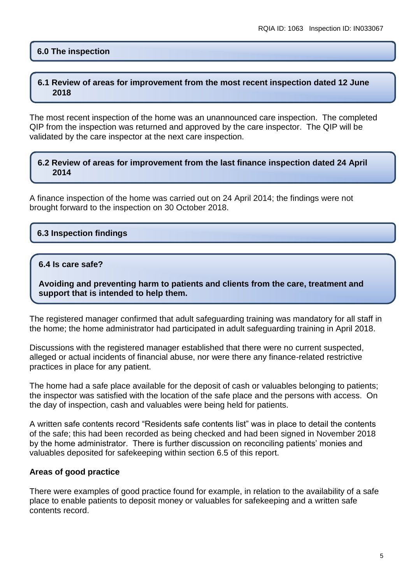# **6.0 The inspection**

#### **6.1 Review of areas for improvement from the most recent inspection dated 12 June 2018**

The most recent inspection of the home was an unannounced care inspection. The completed QIP from the inspection was returned and approved by the care inspector. The QIP will be validated by the care inspector at the next care inspection.

#### **6.2 Review of areas for improvement from the last finance inspection dated 24 April 2014**

A finance inspection of the home was carried out on 24 April 2014; the findings were not brought forward to the inspection on 30 October 2018.

# **6.3 Inspection findings**

#### **6.4 Is care safe?**

**Avoiding and preventing harm to patients and clients from the care, treatment and support that is intended to help them.**

The registered manager confirmed that adult safeguarding training was mandatory for all staff in the home; the home administrator had participated in adult safeguarding training in April 2018.

Discussions with the registered manager established that there were no current suspected, alleged or actual incidents of financial abuse, nor were there any finance-related restrictive practices in place for any patient.

The home had a safe place available for the deposit of cash or valuables belonging to patients; the inspector was satisfied with the location of the safe place and the persons with access. On the day of inspection, cash and valuables were being held for patients.

A written safe contents record "Residents safe contents list" was in place to detail the contents of the safe; this had been recorded as being checked and had been signed in November 2018 by the home administrator. There is further discussion on reconciling patients' monies and valuables deposited for safekeeping within section 6.5 of this report.

#### **Areas of good practice**

There were examples of good practice found for example, in relation to the availability of a safe place to enable patients to deposit money or valuables for safekeeping and a written safe contents record.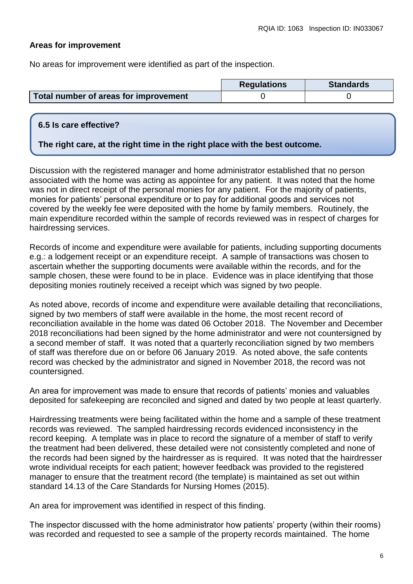# **Areas for improvement**

No areas for improvement were identified as part of the inspection.

|                                       | <b>Regulations</b> | <b>Standards</b> |
|---------------------------------------|--------------------|------------------|
| Total number of areas for improvement |                    |                  |

# **6.5 Is care effective?**

# **The right care, at the right time in the right place with the best outcome.**

Discussion with the registered manager and home administrator established that no person associated with the home was acting as appointee for any patient. It was noted that the home was not in direct receipt of the personal monies for any patient. For the majority of patients, monies for patients' personal expenditure or to pay for additional goods and services not covered by the weekly fee were deposited with the home by family members. Routinely, the main expenditure recorded within the sample of records reviewed was in respect of charges for hairdressing services.

Records of income and expenditure were available for patients, including supporting documents e.g.: a lodgement receipt or an expenditure receipt. A sample of transactions was chosen to ascertain whether the supporting documents were available within the records, and for the sample chosen, these were found to be in place. Evidence was in place identifying that those depositing monies routinely received a receipt which was signed by two people.

As noted above, records of income and expenditure were available detailing that reconciliations, signed by two members of staff were available in the home, the most recent record of reconciliation available in the home was dated 06 October 2018. The November and December 2018 reconciliations had been signed by the home administrator and were not countersigned by a second member of staff. It was noted that a quarterly reconciliation signed by two members of staff was therefore due on or before 06 January 2019. As noted above, the safe contents record was checked by the administrator and signed in November 2018, the record was not countersigned.

An area for improvement was made to ensure that records of patients' monies and valuables deposited for safekeeping are reconciled and signed and dated by two people at least quarterly.

Hairdressing treatments were being facilitated within the home and a sample of these treatment records was reviewed. The sampled hairdressing records evidenced inconsistency in the record keeping. A template was in place to record the signature of a member of staff to verify the treatment had been delivered, these detailed were not consistently completed and none of the records had been signed by the hairdresser as is required. It was noted that the hairdresser wrote individual receipts for each patient; however feedback was provided to the registered manager to ensure that the treatment record (the template) is maintained as set out within standard 14.13 of the Care Standards for Nursing Homes (2015).

An area for improvement was identified in respect of this finding.

The inspector discussed with the home administrator how patients' property (within their rooms) was recorded and requested to see a sample of the property records maintained. The home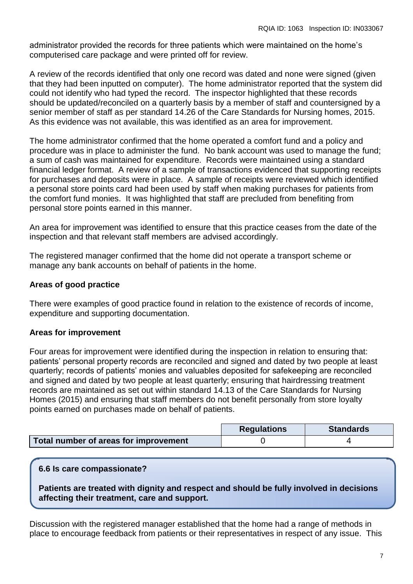administrator provided the records for three patients which were maintained on the home's computerised care package and were printed off for review.

A review of the records identified that only one record was dated and none were signed (given that they had been inputted on computer). The home administrator reported that the system did could not identify who had typed the record. The inspector highlighted that these records should be updated/reconciled on a quarterly basis by a member of staff and countersigned by a senior member of staff as per standard 14.26 of the Care Standards for Nursing homes, 2015. As this evidence was not available, this was identified as an area for improvement.

The home administrator confirmed that the home operated a comfort fund and a policy and procedure was in place to administer the fund. No bank account was used to manage the fund; a sum of cash was maintained for expenditure. Records were maintained using a standard financial ledger format. A review of a sample of transactions evidenced that supporting receipts for purchases and deposits were in place. A sample of receipts were reviewed which identified a personal store points card had been used by staff when making purchases for patients from the comfort fund monies. It was highlighted that staff are precluded from benefiting from personal store points earned in this manner.

An area for improvement was identified to ensure that this practice ceases from the date of the inspection and that relevant staff members are advised accordingly.

The registered manager confirmed that the home did not operate a transport scheme or manage any bank accounts on behalf of patients in the home.

# **Areas of good practice**

There were examples of good practice found in relation to the existence of records of income, expenditure and supporting documentation.

#### **Areas for improvement**

Four areas for improvement were identified during the inspection in relation to ensuring that: patients' personal property records are reconciled and signed and dated by two people at least quarterly; records of patients' monies and valuables deposited for safekeeping are reconciled and signed and dated by two people at least quarterly; ensuring that hairdressing treatment records are maintained as set out within standard 14.13 of the Care Standards for Nursing Homes (2015) and ensuring that staff members do not benefit personally from store loyalty points earned on purchases made on behalf of patients.

|                                       | <b>Regulations</b> | <b>Standards</b> |
|---------------------------------------|--------------------|------------------|
| Total number of areas for improvement |                    |                  |

#### **6.6 Is care compassionate?**

**Patients are treated with dignity and respect and should be fully involved in decisions affecting their treatment, care and support.**

Discussion with the registered manager established that the home had a range of methods in place to encourage feedback from patients or their representatives in respect of any issue. This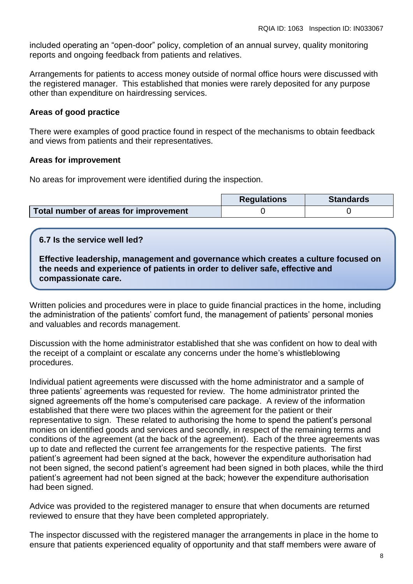included operating an "open-door" policy, completion of an annual survey, quality monitoring reports and ongoing feedback from patients and relatives.

Arrangements for patients to access money outside of normal office hours were discussed with the registered manager. This established that monies were rarely deposited for any purpose other than expenditure on hairdressing services.

#### **Areas of good practice**

There were examples of good practice found in respect of the mechanisms to obtain feedback and views from patients and their representatives.

#### **Areas for improvement**

No areas for improvement were identified during the inspection.

|                                       | <b>Regulations</b> | <b>Standards</b> |
|---------------------------------------|--------------------|------------------|
| Total number of areas for improvement |                    |                  |

#### **6.7 Is the service well led?**

**Effective leadership, management and governance which creates a culture focused on the needs and experience of patients in order to deliver safe, effective and compassionate care.**

Written policies and procedures were in place to guide financial practices in the home, including the administration of the patients' comfort fund, the management of patients' personal monies and valuables and records management.

Discussion with the home administrator established that she was confident on how to deal with the receipt of a complaint or escalate any concerns under the home's whistleblowing procedures.

Individual patient agreements were discussed with the home administrator and a sample of three patients' agreements was requested for review. The home administrator printed the signed agreements off the home's computerised care package. A review of the information established that there were two places within the agreement for the patient or their representative to sign. These related to authorising the home to spend the patient's personal monies on identified goods and services and secondly, in respect of the remaining terms and conditions of the agreement (at the back of the agreement). Each of the three agreements was up to date and reflected the current fee arrangements for the respective patients. The first patient's agreement had been signed at the back, however the expenditure authorisation had not been signed, the second patient's agreement had been signed in both places, while the third patient's agreement had not been signed at the back; however the expenditure authorisation had been signed.

Advice was provided to the registered manager to ensure that when documents are returned reviewed to ensure that they have been completed appropriately.

The inspector discussed with the registered manager the arrangements in place in the home to ensure that patients experienced equality of opportunity and that staff members were aware of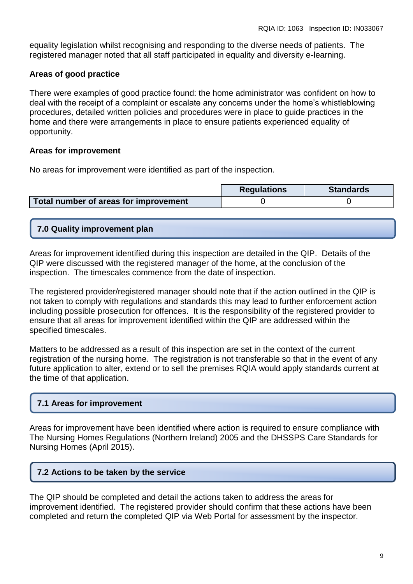equality legislation whilst recognising and responding to the diverse needs of patients. The registered manager noted that all staff participated in equality and diversity e-learning.

# **Areas of good practice**

There were examples of good practice found: the home administrator was confident on how to deal with the receipt of a complaint or escalate any concerns under the home's whistleblowing procedures, detailed written policies and procedures were in place to guide practices in the home and there were arrangements in place to ensure patients experienced equality of opportunity.

# **Areas for improvement**

No areas for improvement were identified as part of the inspection.

|                                       | <b>Regulations</b> | <b>Standards</b> |
|---------------------------------------|--------------------|------------------|
| Total number of areas for improvement |                    |                  |

# **7.0 Quality improvement plan**

Areas for improvement identified during this inspection are detailed in the QIP. Details of the QIP were discussed with the registered manager of the home, at the conclusion of the inspection. The timescales commence from the date of inspection.

The registered provider/registered manager should note that if the action outlined in the QIP is not taken to comply with regulations and standards this may lead to further enforcement action including possible prosecution for offences. It is the responsibility of the registered provider to ensure that all areas for improvement identified within the QIP are addressed within the specified timescales.

Matters to be addressed as a result of this inspection are set in the context of the current registration of the nursing home. The registration is not transferable so that in the event of any future application to alter, extend or to sell the premises RQIA would apply standards current at the time of that application.

# **7.1 Areas for improvement**

Areas for improvement have been identified where action is required to ensure compliance with The Nursing Homes Regulations (Northern Ireland) 2005 and the DHSSPS Care Standards for Nursing Homes (April 2015).

# **7.2 Actions to be taken by the service**

The QIP should be completed and detail the actions taken to address the areas for improvement identified. The registered provider should confirm that these actions have been completed and return the completed QIP via Web Portal for assessment by the inspector.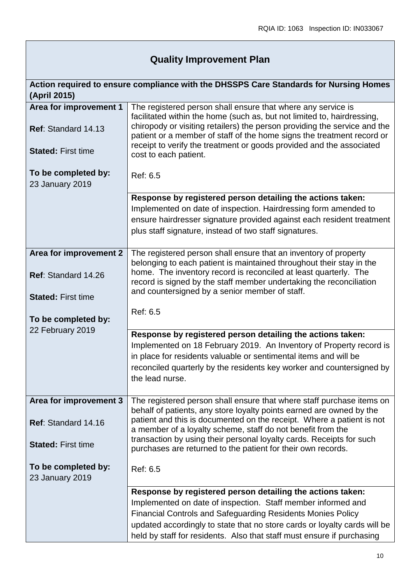# **Quality Improvement Plan**

| Action required to ensure compliance with the DHSSPS Care Standards for Nursing Homes<br>(April 2015) |                                                                                                                                                                                                                                                                                                        |
|-------------------------------------------------------------------------------------------------------|--------------------------------------------------------------------------------------------------------------------------------------------------------------------------------------------------------------------------------------------------------------------------------------------------------|
| Area for improvement 1                                                                                | The registered person shall ensure that where any service is                                                                                                                                                                                                                                           |
| Ref: Standard 14.13                                                                                   | facilitated within the home (such as, but not limited to, hairdressing,<br>chiropody or visiting retailers) the person providing the service and the<br>patient or a member of staff of the home signs the treatment record or<br>receipt to verify the treatment or goods provided and the associated |
| <b>Stated: First time</b>                                                                             | cost to each patient.                                                                                                                                                                                                                                                                                  |
| To be completed by:<br>23 January 2019                                                                | Ref: 6.5                                                                                                                                                                                                                                                                                               |
|                                                                                                       | Response by registered person detailing the actions taken:                                                                                                                                                                                                                                             |
|                                                                                                       | Implemented on date of inspection. Hairdressing form amended to                                                                                                                                                                                                                                        |
|                                                                                                       | ensure hairdresser signature provided against each resident treatment                                                                                                                                                                                                                                  |
|                                                                                                       | plus staff signature, instead of two staff signatures.                                                                                                                                                                                                                                                 |
| Area for improvement 2                                                                                | The registered person shall ensure that an inventory of property                                                                                                                                                                                                                                       |
|                                                                                                       | belonging to each patient is maintained throughout their stay in the                                                                                                                                                                                                                                   |
| Ref: Standard 14.26                                                                                   | home. The inventory record is reconciled at least quarterly. The<br>record is signed by the staff member undertaking the reconciliation                                                                                                                                                                |
| <b>Stated: First time</b>                                                                             | and countersigned by a senior member of staff.                                                                                                                                                                                                                                                         |
|                                                                                                       |                                                                                                                                                                                                                                                                                                        |
| To be completed by:                                                                                   | Ref: 6.5                                                                                                                                                                                                                                                                                               |
| 22 February 2019                                                                                      |                                                                                                                                                                                                                                                                                                        |
|                                                                                                       | Response by registered person detailing the actions taken:<br>Implemented on 18 February 2019. An Inventory of Property record is                                                                                                                                                                      |
|                                                                                                       | in place for residents valuable or sentimental items and will be                                                                                                                                                                                                                                       |
|                                                                                                       | reconciled quarterly by the residents key worker and countersigned by                                                                                                                                                                                                                                  |
|                                                                                                       | the lead nurse.                                                                                                                                                                                                                                                                                        |
|                                                                                                       |                                                                                                                                                                                                                                                                                                        |
| Area for improvement 3                                                                                | The registered person shall ensure that where staff purchase items on<br>behalf of patients, any store loyalty points earned are owned by the                                                                                                                                                          |
| <b>Ref: Standard 14.16</b>                                                                            | patient and this is documented on the receipt. Where a patient is not<br>a member of a loyalty scheme, staff do not benefit from the                                                                                                                                                                   |
| <b>Stated: First time</b>                                                                             | transaction by using their personal loyalty cards. Receipts for such<br>purchases are returned to the patient for their own records.                                                                                                                                                                   |
| To be completed by:<br>23 January 2019                                                                | Ref: 6.5                                                                                                                                                                                                                                                                                               |
|                                                                                                       | Response by registered person detailing the actions taken:                                                                                                                                                                                                                                             |
|                                                                                                       | Implemented on date of inspection. Staff member informed and                                                                                                                                                                                                                                           |
|                                                                                                       | <b>Financial Controls and Safeguarding Residents Monies Policy</b>                                                                                                                                                                                                                                     |
|                                                                                                       | updated accordingly to state that no store cards or loyalty cards will be                                                                                                                                                                                                                              |
|                                                                                                       | held by staff for residents. Also that staff must ensure if purchasing                                                                                                                                                                                                                                 |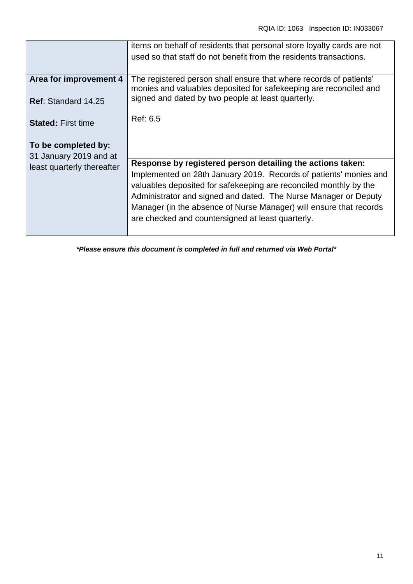|                                                      | items on behalf of residents that personal store loyalty cards are not<br>used so that staff do not benefit from the residents transactions.                                                                                                                                                                                                                                                       |
|------------------------------------------------------|----------------------------------------------------------------------------------------------------------------------------------------------------------------------------------------------------------------------------------------------------------------------------------------------------------------------------------------------------------------------------------------------------|
| Area for improvement 4<br>Ref: Standard 14.25        | The registered person shall ensure that where records of patients'<br>monies and valuables deposited for safekeeping are reconciled and<br>signed and dated by two people at least quarterly.                                                                                                                                                                                                      |
| <b>Stated: First time</b>                            | Ref: 6.5                                                                                                                                                                                                                                                                                                                                                                                           |
| To be completed by:                                  |                                                                                                                                                                                                                                                                                                                                                                                                    |
| 31 January 2019 and at<br>least quarterly thereafter | Response by registered person detailing the actions taken:<br>Implemented on 28th January 2019. Records of patients' monies and<br>valuables deposited for safekeeping are reconciled monthly by the<br>Administrator and signed and dated. The Nurse Manager or Deputy<br>Manager (in the absence of Nurse Manager) will ensure that records<br>are checked and countersigned at least quarterly. |
|                                                      |                                                                                                                                                                                                                                                                                                                                                                                                    |

*\*Please ensure this document is completed in full and returned via Web Portal\**